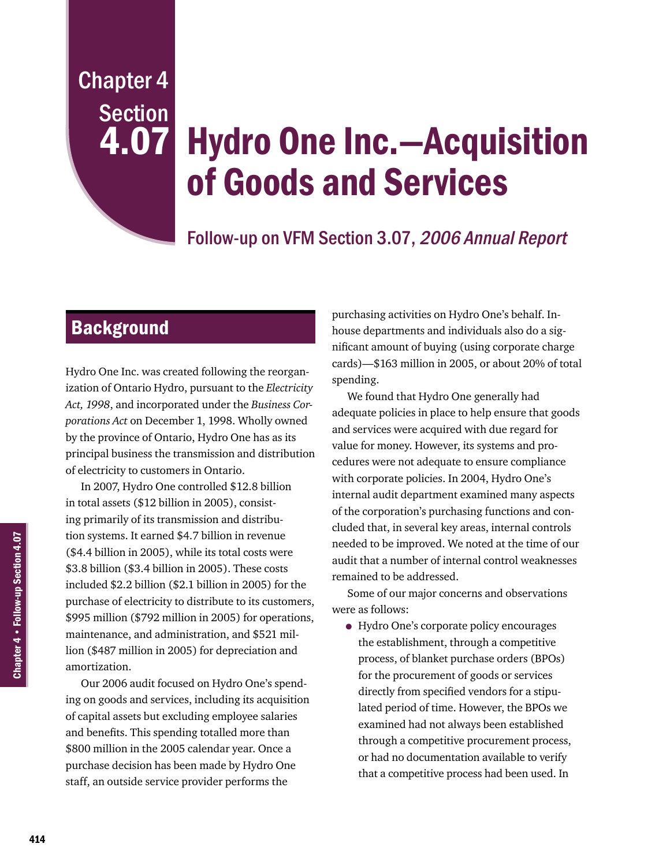## Chapter 4 Section 4.07

# Hydro One Inc.—Acquisition of Goods and Services

## Follow-up on VFM Section 3.07, 2006 Annual Report

## **Background**

Hydro One Inc. was created following the reorganization of Ontario Hydro, pursuant to the *Electricity Act, 1998*, and incorporated under the *Business Corporations Act* on December 1, 1998. Wholly owned by the province of Ontario, Hydro One has as its principal business the transmission and distribution of electricity to customers in Ontario.

In 2007, Hydro One controlled \$12.8 billion in total assets (\$12 billion in 2005), consisting primarily of its transmission and distribution systems. It earned \$4.7 billion in revenue (\$4.4 billion in 2005), while its total costs were \$3.8 billion (\$3.4 billion in 2005). These costs included \$2.2 billion (\$2.1 billion in 2005) for the purchase of electricity to distribute to its customers, \$995 million (\$792 million in 2005) for operations, maintenance, and administration, and \$521 million (\$487 million in 2005) for depreciation and amortization.

Our 2006 audit focused on Hydro One's spending on goods and services, including its acquisition of capital assets but excluding employee salaries and benefits. This spending totalled more than \$800 million in the 2005 calendar year. Once a purchase decision has been made by Hydro One staff, an outside service provider performs the

purchasing activities on Hydro One's behalf. Inhouse departments and individuals also do a significant amount of buying (using corporate charge cards)—\$163 million in 2005, or about 20% of total spending.

We found that Hydro One generally had adequate policies in place to help ensure that goods and services were acquired with due regard for value for money. However, its systems and procedures were not adequate to ensure compliance with corporate policies. In 2004, Hydro One's internal audit department examined many aspects of the corporation's purchasing functions and concluded that, in several key areas, internal controls needed to be improved. We noted at the time of our audit that a number of internal control weaknesses remained to be addressed.

Some of our major concerns and observations were as follows:

• Hydro One's corporate policy encourages the establishment, through a competitive process, of blanket purchase orders (BPOs) for the procurement of goods or services directly from specified vendors for a stipulated period of time. However, the BPOs we examined had not always been established through a competitive procurement process, or had no documentation available to verify that a competitive process had been used. In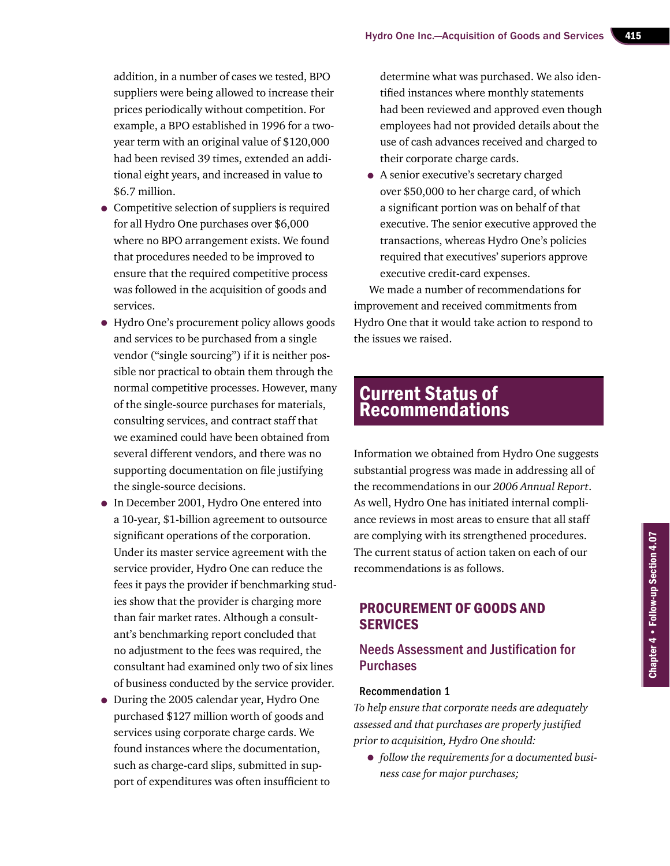addition, in a number of cases we tested, BPO suppliers were being allowed to increase their prices periodically without competition. For example, a BPO established in 1996 for a twoyear term with an original value of \$120,000 had been revised 39 times, extended an additional eight years, and increased in value to \$6.7 million.

- Competitive selection of suppliers is required for all Hydro One purchases over \$6,000 where no BPO arrangement exists. We found that procedures needed to be improved to ensure that the required competitive process was followed in the acquisition of goods and services.
- Hydro One's procurement policy allows goods and services to be purchased from a single vendor ("single sourcing") if it is neither possible nor practical to obtain them through the normal competitive processes. However, many of the single-source purchases for materials, consulting services, and contract staff that we examined could have been obtained from several different vendors, and there was no supporting documentation on file justifying the single-source decisions.
- In December 2001, Hydro One entered into a 10-year, \$1-billion agreement to outsource significant operations of the corporation. Under its master service agreement with the service provider, Hydro One can reduce the fees it pays the provider if benchmarking studies show that the provider is charging more than fair market rates. Although a consultant's benchmarking report concluded that no adjustment to the fees was required, the consultant had examined only two of six lines of business conducted by the service provider.
- During the 2005 calendar year, Hydro One purchased \$127 million worth of goods and services using corporate charge cards. We found instances where the documentation, such as charge-card slips, submitted in support of expenditures was often insufficient to

determine what was purchased. We also identified instances where monthly statements had been reviewed and approved even though employees had not provided details about the use of cash advances received and charged to their corporate charge cards.

• A senior executive's secretary charged over \$50,000 to her charge card, of which a significant portion was on behalf of that executive. The senior executive approved the transactions, whereas Hydro One's policies required that executives' superiors approve executive credit-card expenses.

We made a number of recommendations for improvement and received commitments from Hydro One that it would take action to respond to the issues we raised.

## **Current Status of** Recommendations

Information we obtained from Hydro One suggests substantial progress was made in addressing all of the recommendations in our *2006 Annual Report*. As well, Hydro One has initiated internal compliance reviews in most areas to ensure that all staff are complying with its strengthened procedures. The current status of action taken on each of our recommendations is as follows.

### Procurement of Goods and **SERVICES**

#### Needs Assessment and Justification for Purchases

#### Recommendation 1

*To help ensure that corporate needs are adequately assessed and that purchases are properly justified prior to acquisition, Hydro One should:*

• *follow the requirements for a documented business case for major purchases;*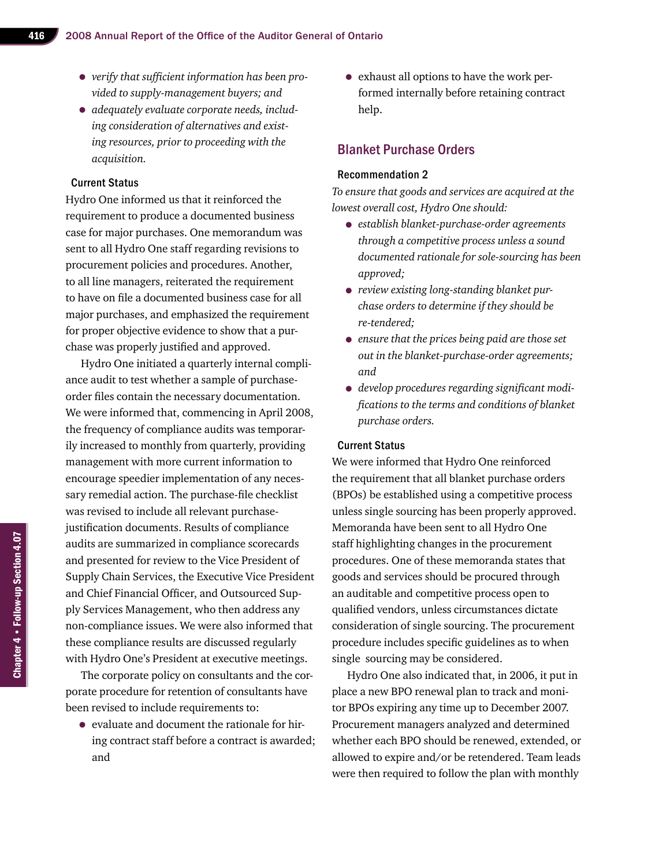- *verify that sufficient information has been provided to supply-management buyers; and*
- *adequately evaluate corporate needs, including consideration of alternatives and existing resources, prior to proceeding with the acquisition.*

Hydro One informed us that it reinforced the requirement to produce a documented business case for major purchases. One memorandum was sent to all Hydro One staff regarding revisions to procurement policies and procedures. Another, to all line managers, reiterated the requirement to have on file a documented business case for all major purchases, and emphasized the requirement for proper objective evidence to show that a purchase was properly justified and approved.

Hydro One initiated a quarterly internal compliance audit to test whether a sample of purchaseorder files contain the necessary documentation. We were informed that, commencing in April 2008, the frequency of compliance audits was temporarily increased to monthly from quarterly, providing management with more current information to encourage speedier implementation of any necessary remedial action. The purchase-file checklist was revised to include all relevant purchasejustification documents. Results of compliance audits are summarized in compliance scorecards and presented for review to the Vice President of Supply Chain Services, the Executive Vice President and Chief Financial Officer, and Outsourced Supply Services Management, who then address any non-compliance issues. We were also informed that these compliance results are discussed regularly with Hydro One's President at executive meetings.

The corporate policy on consultants and the corporate procedure for retention of consultants have been revised to include requirements to:

• evaluate and document the rationale for hiring contract staff before a contract is awarded; and

• exhaust all options to have the work performed internally before retaining contract help.

#### Blanket Purchase Orders

#### Recommendation 2

*To ensure that goods and services are acquired at the lowest overall cost, Hydro One should:*

- *establish blanket-purchase-order agreements through a competitive process unless a sound documented rationale for sole-sourcing has been approved;*
- *review existing long-standing blanket purchase orders to determine if they should be re-tendered;*
- *ensure that the prices being paid are those set out in the blanket-purchase-order agreements; and*
- *develop procedures regarding significant modifications to the terms and conditions of blanket purchase orders.*

#### Current Status

We were informed that Hydro One reinforced the requirement that all blanket purchase orders (BPOs) be established using a competitive process unless single sourcing has been properly approved. Memoranda have been sent to all Hydro One staff highlighting changes in the procurement procedures. One of these memoranda states that goods and services should be procured through an auditable and competitive process open to qualified vendors, unless circumstances dictate consideration of single sourcing. The procurement procedure includes specific guidelines as to when single sourcing may be considered.

Hydro One also indicated that, in 2006, it put in place a new BPO renewal plan to track and monitor BPOs expiring any time up to December 2007. Procurement managers analyzed and determined whether each BPO should be renewed, extended, or allowed to expire and/or be retendered. Team leads were then required to follow the plan with monthly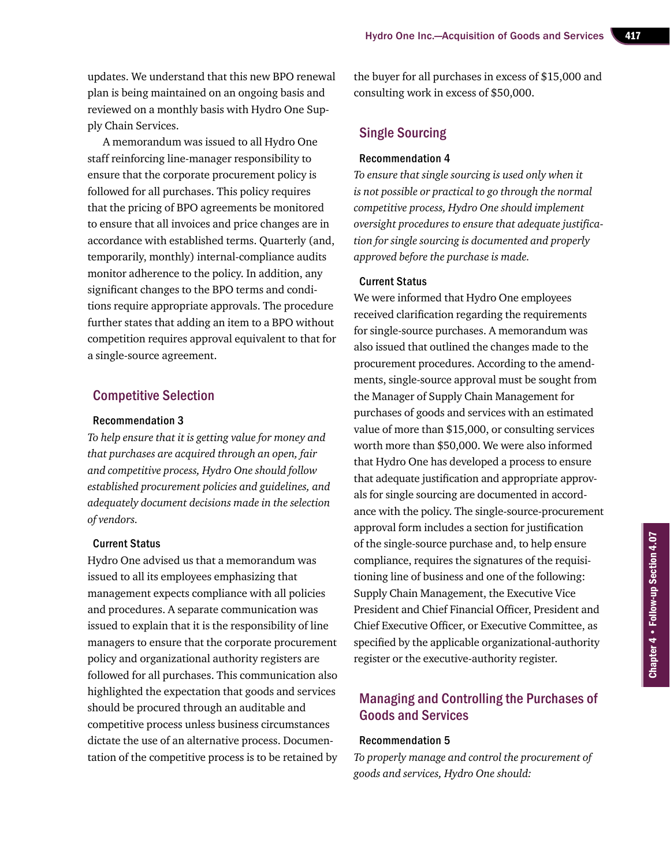updates. We understand that this new BPO renewal plan is being maintained on an ongoing basis and reviewed on a monthly basis with Hydro One Supply Chain Services.

A memorandum was issued to all Hydro One staff reinforcing line-manager responsibility to ensure that the corporate procurement policy is followed for all purchases. This policy requires that the pricing of BPO agreements be monitored to ensure that all invoices and price changes are in accordance with established terms. Quarterly (and, temporarily, monthly) internal-compliance audits monitor adherence to the policy. In addition, any significant changes to the BPO terms and conditions require appropriate approvals. The procedure further states that adding an item to a BPO without competition requires approval equivalent to that for a single-source agreement.

#### Competitive Selection

#### Recommendation 3

*To help ensure that it is getting value for money and that purchases are acquired through an open, fair and competitive process, Hydro One should follow established procurement policies and guidelines, and adequately document decisions made in the selection of vendors.*

#### Current Status

Hydro One advised us that a memorandum was issued to all its employees emphasizing that management expects compliance with all policies and procedures. A separate communication was issued to explain that it is the responsibility of line managers to ensure that the corporate procurement policy and organizational authority registers are followed for all purchases. This communication also highlighted the expectation that goods and services should be procured through an auditable and competitive process unless business circumstances dictate the use of an alternative process. Documentation of the competitive process is to be retained by the buyer for all purchases in excess of \$15,000 and consulting work in excess of \$50,000.

#### Single Sourcing

#### Recommendation 4

*To ensure that single sourcing is used only when it is not possible or practical to go through the normal competitive process, Hydro One should implement oversight procedures to ensure that adequate justification for single sourcing is documented and properly approved before the purchase is made.*

#### Current Status

We were informed that Hydro One employees received clarification regarding the requirements for single-source purchases. A memorandum was also issued that outlined the changes made to the procurement procedures. According to the amendments, single-source approval must be sought from the Manager of Supply Chain Management for purchases of goods and services with an estimated value of more than \$15,000, or consulting services worth more than \$50,000. We were also informed that Hydro One has developed a process to ensure that adequate justification and appropriate approvals for single sourcing are documented in accordance with the policy. The single-source-procurement approval form includes a section for justification of the single-source purchase and, to help ensure compliance, requires the signatures of the requisitioning line of business and one of the following: Supply Chain Management, the Executive Vice President and Chief Financial Officer, President and Chief Executive Officer, or Executive Committee, as specified by the applicable organizational-authority register or the executive-authority register.

#### Managing and Controlling the Purchases of Goods and Services

#### Recommendation 5

*To properly manage and control the procurement of goods and services, Hydro One should:*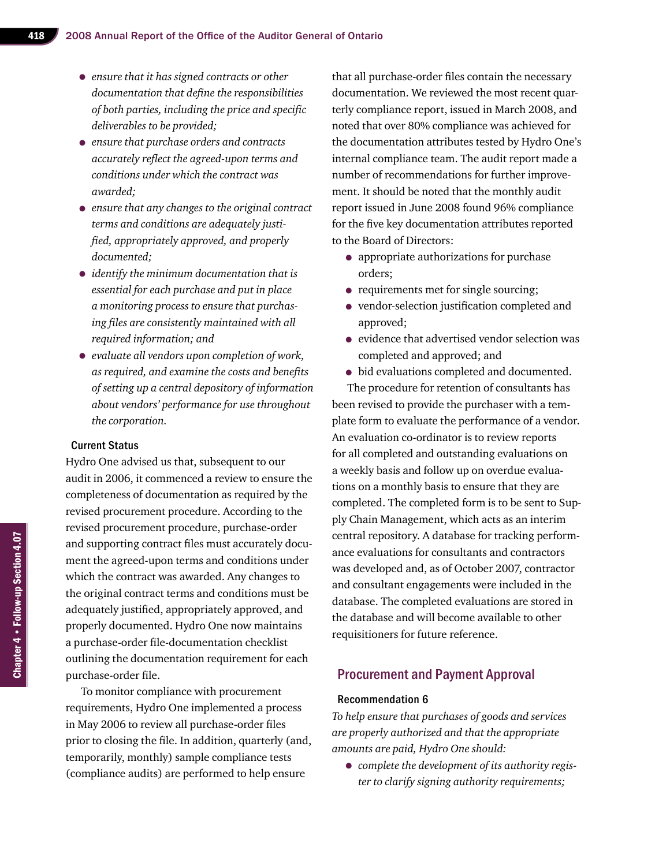- *ensure that it has signed contracts or other documentation that define the responsibilities of both parties, including the price and specific deliverables to be provided;*
- *ensure that purchase orders and contracts accurately reflect the agreed-upon terms and conditions under which the contract was awarded;*
- *ensure that any changes to the original contract terms and conditions are adequately justified, appropriately approved, and properly documented;*
- *identify the minimum documentation that is essential for each purchase and put in place a monitoring process to ensure that purchasing files are consistently maintained with all required information; and*
- *evaluate all vendors upon completion of work, as required, and examine the costs and benefits of setting up a central depository of information about vendors' performance for use throughout the corporation.*

Hydro One advised us that, subsequent to our audit in 2006, it commenced a review to ensure the completeness of documentation as required by the revised procurement procedure. According to the revised procurement procedure, purchase-order and supporting contract files must accurately document the agreed-upon terms and conditions under which the contract was awarded. Any changes to the original contract terms and conditions must be adequately justified, appropriately approved, and properly documented. Hydro One now maintains a purchase-order file-documentation checklist outlining the documentation requirement for each purchase-order file.

To monitor compliance with procurement requirements, Hydro One implemented a process in May 2006 to review all purchase-order files prior to closing the file. In addition, quarterly (and, temporarily, monthly) sample compliance tests (compliance audits) are performed to help ensure

that all purchase-order files contain the necessary documentation. We reviewed the most recent quarterly compliance report, issued in March 2008, and noted that over 80% compliance was achieved for the documentation attributes tested by Hydro One's internal compliance team. The audit report made a number of recommendations for further improvement. It should be noted that the monthly audit report issued in June 2008 found 96% compliance for the five key documentation attributes reported to the Board of Directors:

- appropriate authorizations for purchase orders;
- requirements met for single sourcing;
- vendor-selection justification completed and approved;
- evidence that advertised vendor selection was completed and approved; and
- bid evaluations completed and documented.

The procedure for retention of consultants has been revised to provide the purchaser with a template form to evaluate the performance of a vendor. An evaluation co-ordinator is to review reports for all completed and outstanding evaluations on a weekly basis and follow up on overdue evaluations on a monthly basis to ensure that they are completed. The completed form is to be sent to Supply Chain Management, which acts as an interim central repository. A database for tracking performance evaluations for consultants and contractors was developed and, as of October 2007, contractor and consultant engagements were included in the database. The completed evaluations are stored in the database and will become available to other requisitioners for future reference.

#### Procurement and Payment Approval

#### Recommendation 6

*To help ensure that purchases of goods and services are properly authorized and that the appropriate amounts are paid, Hydro One should:* 

• *complete the development of its authority register to clarify signing authority requirements;*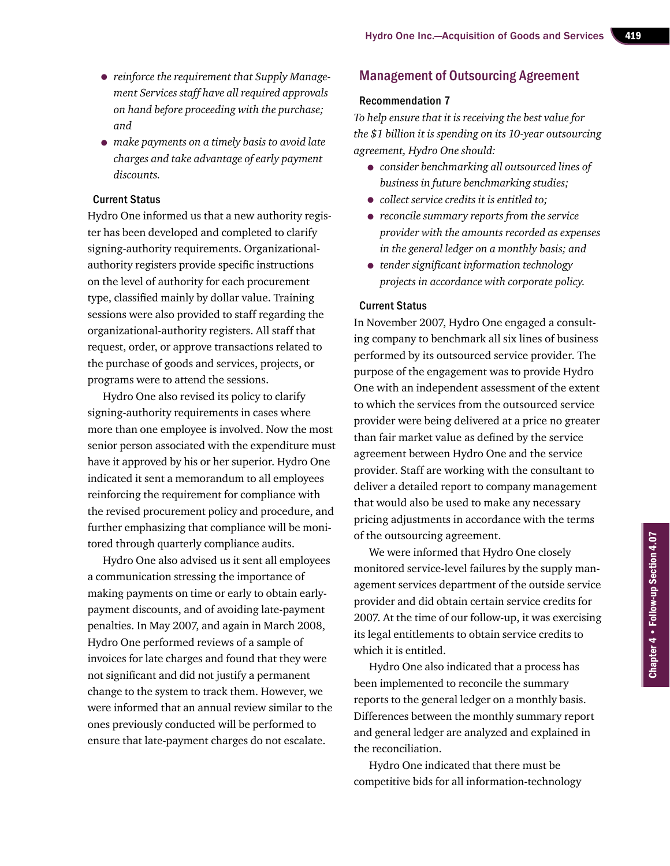- *reinforce the requirement that Supply Management Services staff have all required approvals on hand before proceeding with the purchase; and*
- *make payments on a timely basis to avoid late charges and take advantage of early payment discounts.*

Hydro One informed us that a new authority register has been developed and completed to clarify signing-authority requirements. Organizationalauthority registers provide specific instructions on the level of authority for each procurement type, classified mainly by dollar value. Training sessions were also provided to staff regarding the organizational-authority registers. All staff that request, order, or approve transactions related to the purchase of goods and services, projects, or programs were to attend the sessions.

Hydro One also revised its policy to clarify signing-authority requirements in cases where more than one employee is involved. Now the most senior person associated with the expenditure must have it approved by his or her superior. Hydro One indicated it sent a memorandum to all employees reinforcing the requirement for compliance with the revised procurement policy and procedure, and further emphasizing that compliance will be monitored through quarterly compliance audits.

Hydro One also advised us it sent all employees a communication stressing the importance of making payments on time or early to obtain earlypayment discounts, and of avoiding late-payment penalties. In May 2007, and again in March 2008, Hydro One performed reviews of a sample of invoices for late charges and found that they were not significant and did not justify a permanent change to the system to track them. However, we were informed that an annual review similar to the ones previously conducted will be performed to ensure that late-payment charges do not escalate.

#### Management of Outsourcing Agreement

#### Recommendation 7

*To help ensure that it is receiving the best value for the \$1 billion it is spending on its 10-year outsourcing agreement, Hydro One should:*

- *consider benchmarking all outsourced lines of business in future benchmarking studies;*
- *collect service credits it is entitled to;*
- *reconcile summary reports from the service provider with the amounts recorded as expenses in the general ledger on a monthly basis; and*
- *tender significant information technology projects in accordance with corporate policy.*

#### Current Status

In November 2007, Hydro One engaged a consulting company to benchmark all six lines of business performed by its outsourced service provider. The purpose of the engagement was to provide Hydro One with an independent assessment of the extent to which the services from the outsourced service provider were being delivered at a price no greater than fair market value as defined by the service agreement between Hydro One and the service provider. Staff are working with the consultant to deliver a detailed report to company management that would also be used to make any necessary pricing adjustments in accordance with the terms of the outsourcing agreement.

We were informed that Hydro One closely monitored service-level failures by the supply management services department of the outside service provider and did obtain certain service credits for 2007. At the time of our follow-up, it was exercising its legal entitlements to obtain service credits to which it is entitled.

Hydro One also indicated that a process has been implemented to reconcile the summary reports to the general ledger on a monthly basis. Differences between the monthly summary report and general ledger are analyzed and explained in the reconciliation.

Hydro One indicated that there must be competitive bids for all information-technology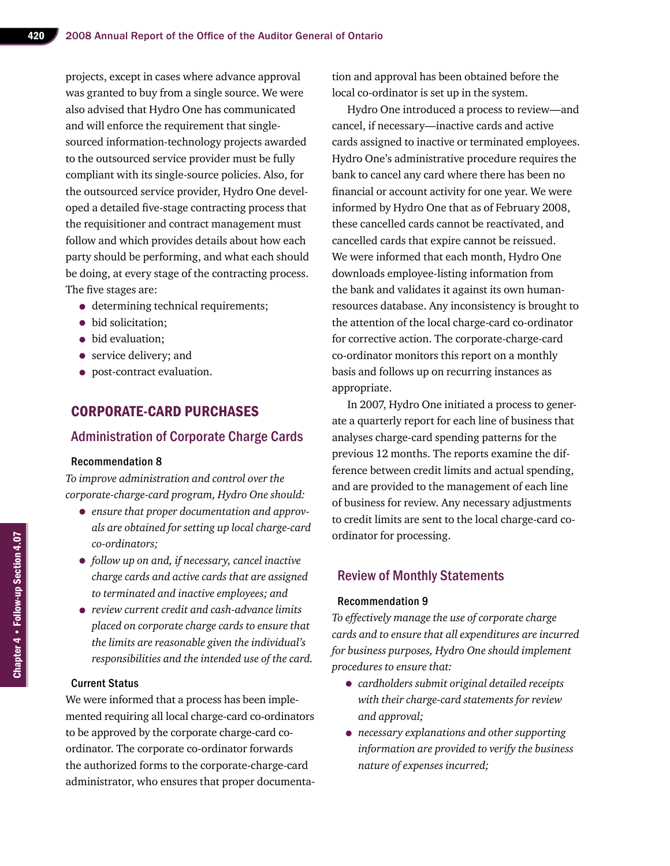projects, except in cases where advance approval was granted to buy from a single source. We were also advised that Hydro One has communicated and will enforce the requirement that singlesourced information-technology projects awarded to the outsourced service provider must be fully compliant with its single-source policies. Also, for the outsourced service provider, Hydro One developed a detailed five-stage contracting process that the requisitioner and contract management must follow and which provides details about how each party should be performing, and what each should be doing, at every stage of the contracting process. The five stages are:

- determining technical requirements;
- bid solicitation;
- bid evaluation:
- service delivery; and
- post-contract evaluation.

## Corporate-card Purchases

#### Administration of Corporate Charge Cards

#### Recommendation 8

*To improve administration and control over the corporate-charge-card program, Hydro One should:*

- *ensure that proper documentation and approvals are obtained for setting up local charge-card co-ordinators;*
- *follow up on and, if necessary, cancel inactive charge cards and active cards that are assigned to terminated and inactive employees; and*
- *review current credit and cash-advance limits placed on corporate charge cards to ensure that the limits are reasonable given the individual's responsibilities and the intended use of the card.*

#### Current Status

We were informed that a process has been implemented requiring all local charge-card co-ordinators to be approved by the corporate charge-card coordinator. The corporate co-ordinator forwards the authorized forms to the corporate-charge-card administrator, who ensures that proper documentation and approval has been obtained before the local co-ordinator is set up in the system.

Hydro One introduced a process to review—and cancel, if necessary—inactive cards and active cards assigned to inactive or terminated employees. Hydro One's administrative procedure requires the bank to cancel any card where there has been no financial or account activity for one year. We were informed by Hydro One that as of February 2008, these cancelled cards cannot be reactivated, and cancelled cards that expire cannot be reissued. We were informed that each month, Hydro One downloads employee-listing information from the bank and validates it against its own humanresources database. Any inconsistency is brought to the attention of the local charge-card co-ordinator for corrective action. The corporate-charge-card co-ordinator monitors this report on a monthly basis and follows up on recurring instances as appropriate.

In 2007, Hydro One initiated a process to generate a quarterly report for each line of business that analyses charge-card spending patterns for the previous 12 months. The reports examine the difference between credit limits and actual spending, and are provided to the management of each line of business for review. Any necessary adjustments to credit limits are sent to the local charge-card coordinator for processing.

#### Review of Monthly Statements

#### Recommendation 9

*To effectively manage the use of corporate charge cards and to ensure that all expenditures are incurred for business purposes, Hydro One should implement procedures to ensure that:*

- *cardholders submit original detailed receipts with their charge-card statements for review and approval;*
- *necessary explanations and other supporting information are provided to verify the business nature of expenses incurred;*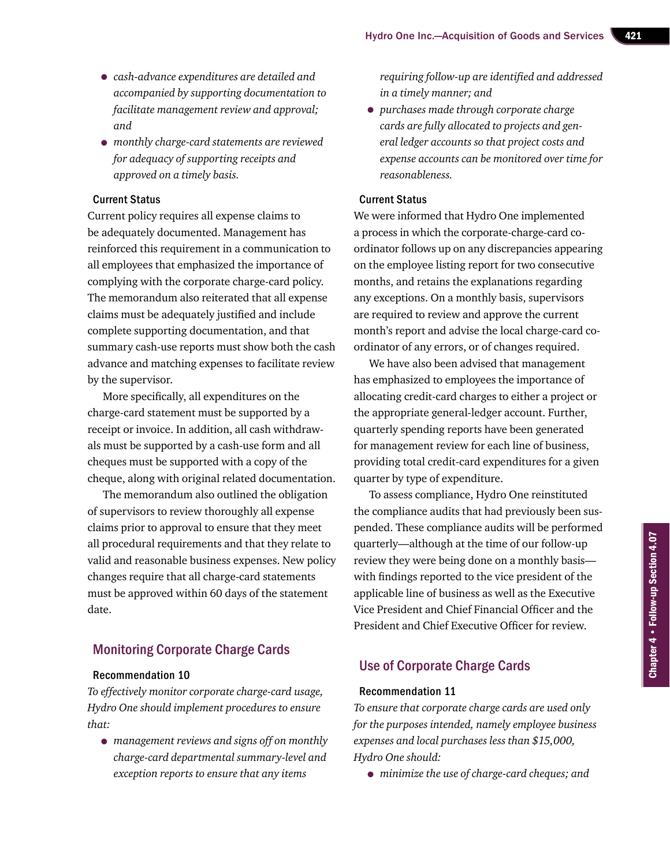- *cash-advance expenditures are detailed and accompanied by supporting documentation to facilitate management review and approval; and*
- *monthly charge-card statements are reviewed for adequacy of supporting receipts and approved on a timely basis.*

Current policy requires all expense claims to be adequately documented. Management has reinforced this requirement in a communication to all employees that emphasized the importance of complying with the corporate charge-card policy. The memorandum also reiterated that all expense claims must be adequately justified and include complete supporting documentation, and that summary cash-use reports must show both the cash advance and matching expenses to facilitate review by the supervisor.

More specifically, all expenditures on the charge-card statement must be supported by a receipt or invoice. In addition, all cash withdrawals must be supported by a cash-use form and all cheques must be supported with a copy of the cheque, along with original related documentation.

The memorandum also outlined the obligation of supervisors to review thoroughly all expense claims prior to approval to ensure that they meet all procedural requirements and that they relate to valid and reasonable business expenses. New policy changes require that all charge-card statements must be approved within 60 days of the statement date.

#### Monitoring Corporate Charge Cards

#### Recommendation 10

*To effectively monitor corporate charge-card usage, Hydro One should implement procedures to ensure that:*

• *management reviews and signs off on monthly charge-card departmental summary-level and exception reports to ensure that any items* 

*requiring follow-up are identified and addressed in a timely manner; and*

• *purchases made through corporate charge cards are fully allocated to projects and general ledger accounts so that project costs and expense accounts can be monitored over time for reasonableness.*

#### Current Status

We were informed that Hydro One implemented a process in which the corporate-charge-card coordinator follows up on any discrepancies appearing on the employee listing report for two consecutive months, and retains the explanations regarding any exceptions. On a monthly basis, supervisors are required to review and approve the current month's report and advise the local charge-card coordinator of any errors, or of changes required.

We have also been advised that management has emphasized to employees the importance of allocating credit-card charges to either a project or the appropriate general-ledger account. Further, quarterly spending reports have been generated for management review for each line of business, providing total credit-card expenditures for a given quarter by type of expenditure.

To assess compliance, Hydro One reinstituted the compliance audits that had previously been suspended. These compliance audits will be performed quarterly—although at the time of our follow-up review they were being done on a monthly basis with findings reported to the vice president of the applicable line of business as well as the Executive Vice President and Chief Financial Officer and the President and Chief Executive Officer for review.

#### Use of Corporate Charge Cards

#### Recommendation 11

*To ensure that corporate charge cards are used only for the purposes intended, namely employee business expenses and local purchases less than \$15,000, Hydro One should:*

• *minimize the use of charge-card cheques; and*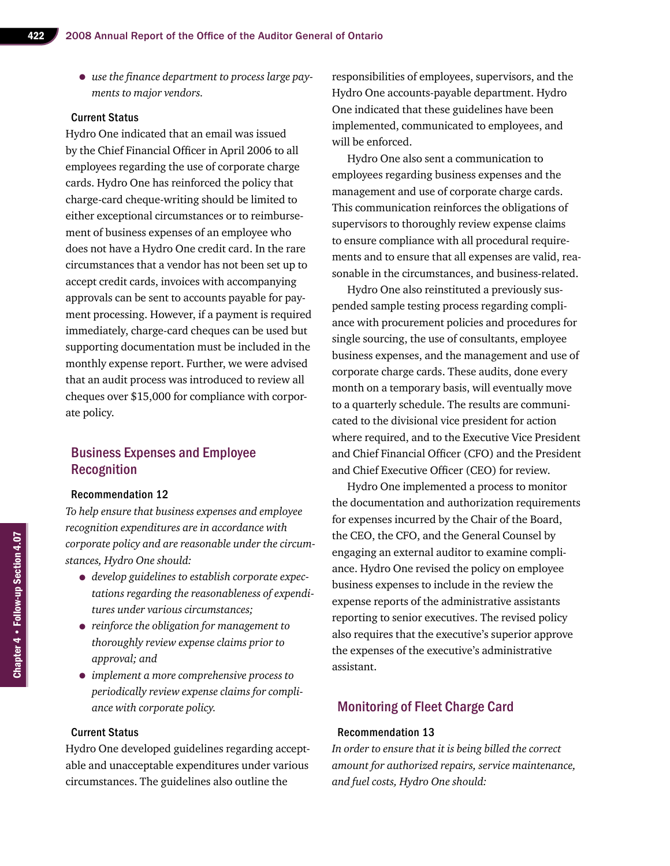• *use the finance department to process large payments to major vendors.*

#### Current Status

Hydro One indicated that an email was issued by the Chief Financial Officer in April 2006 to all employees regarding the use of corporate charge cards. Hydro One has reinforced the policy that charge-card cheque-writing should be limited to either exceptional circumstances or to reimbursement of business expenses of an employee who does not have a Hydro One credit card. In the rare circumstances that a vendor has not been set up to accept credit cards, invoices with accompanying approvals can be sent to accounts payable for payment processing. However, if a payment is required immediately, charge-card cheques can be used but supporting documentation must be included in the monthly expense report. Further, we were advised that an audit process was introduced to review all cheques over \$15,000 for compliance with corporate policy.

#### Business Expenses and Employee Recognition

#### Recommendation 12

*To help ensure that business expenses and employee recognition expenditures are in accordance with corporate policy and are reasonable under the circumstances, Hydro One should:*

- *develop guidelines to establish corporate expectations regarding the reasonableness of expenditures under various circumstances;*
- *reinforce the obligation for management to thoroughly review expense claims prior to approval; and*
- *implement a more comprehensive process to periodically review expense claims for compliance with corporate policy.*

#### Current Status

Hydro One developed guidelines regarding acceptable and unacceptable expenditures under various circumstances. The guidelines also outline the

responsibilities of employees, supervisors, and the Hydro One accounts-payable department. Hydro One indicated that these guidelines have been implemented, communicated to employees, and will be enforced.

Hydro One also sent a communication to employees regarding business expenses and the management and use of corporate charge cards. This communication reinforces the obligations of supervisors to thoroughly review expense claims to ensure compliance with all procedural requirements and to ensure that all expenses are valid, reasonable in the circumstances, and business-related.

Hydro One also reinstituted a previously suspended sample testing process regarding compliance with procurement policies and procedures for single sourcing, the use of consultants, employee business expenses, and the management and use of corporate charge cards. These audits, done every month on a temporary basis, will eventually move to a quarterly schedule. The results are communicated to the divisional vice president for action where required, and to the Executive Vice President and Chief Financial Officer (CFO) and the President and Chief Executive Officer (CEO) for review.

Hydro One implemented a process to monitor the documentation and authorization requirements for expenses incurred by the Chair of the Board, the CEO, the CFO, and the General Counsel by engaging an external auditor to examine compliance. Hydro One revised the policy on employee business expenses to include in the review the expense reports of the administrative assistants reporting to senior executives. The revised policy also requires that the executive's superior approve the expenses of the executive's administrative assistant.

#### Monitoring of Fleet Charge Card

#### Recommendation 13

*In order to ensure that it is being billed the correct amount for authorized repairs, service maintenance, and fuel costs, Hydro One should:*